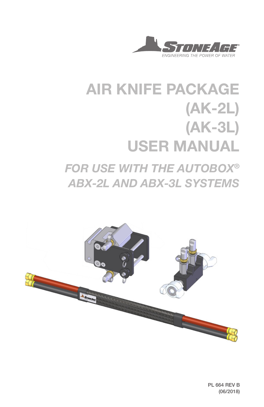

# AIR KNIFE PACKAGE (AK-2L) (AK-3L) USER MANUAL *FOR USE WITH THE AUTOBOX® ABX-2L AND ABX-3L SYSTEMS*



PL 664 REV B (06/2018)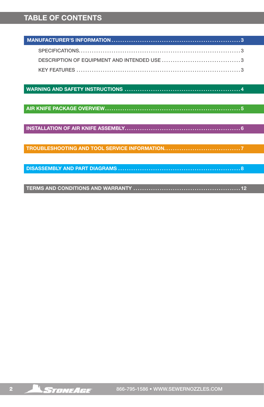## TABLE OF CONTENTS

WARNING AND SAFETY INSTRUCTIONS ..................................................... 4

AIR KNIFE PACKAGE OVERVIEW.............................................................. 5

INSTALLATION OF AIR KNIFE ASSEMBLY..................................................... 6

TROUBLESHOOTING AND TOOL SERVICE INFORMATION................................... 7

DISASSEMBLY AND PART DIAGRAMS ........................................................ 8

TERMS AND CONDITIONS AND WARRANTY ................................................. 12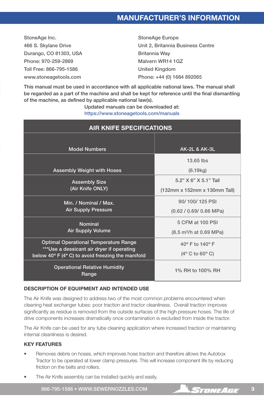StoneAge Inc. 466 S. Skylane Drive Durango, CO 81303, USA Phone: 970-259-2869 Toll Free: 866-795-1586 www.stoneagetools.com

StoneAge Europe Unit 2, Britannia Business Centre Britannia Way Malvern WR14 1GZ United Kingdom Phone: +44 (0) 1684 892065

This manual must be used in accordance with all applicable national laws. The manual shall be regarded as a part of the machine and shall be kept for reference until the final dismantling of the machine, as defined by applicable national law(s).

> Updated manuals can be downloaded at: https://www.stoneagetools.com/manuals

| <b>AIR KNIFE SPECIFICATIONS</b>                                                                                                                                   |                                                                         |  |  |
|-------------------------------------------------------------------------------------------------------------------------------------------------------------------|-------------------------------------------------------------------------|--|--|
| <b>Model Numbers</b>                                                                                                                                              | <b>AK-2L &amp; AK-3L</b>                                                |  |  |
| <b>Assembly Weight with Hoses</b>                                                                                                                                 | 13.65 lbs<br>(6.19kg)                                                   |  |  |
| <b>Assembly Size</b><br>(Air Knife ONLY)                                                                                                                          | 5.2" X 6" X 5.1" Tall<br>(132mm x 152mm x 130mm Tall)                   |  |  |
| Min. / Nominal / Max.<br><b>Air Supply Pressure</b>                                                                                                               | 90/100/125 PSI<br>$(0.62 / 0.69 / 0.86$ MPa)                            |  |  |
| <b>Nominal</b><br><b>Air Supply Volume</b>                                                                                                                        | 5 CFM at 100 PSI<br>(8.5 m <sup>3</sup> /h at 0.69 MPa)                 |  |  |
| <b>Optimal Operational Temperature Range</b><br>***Use a dessicant air dryer if operating<br>below $40^{\circ}$ F (4 $^{\circ}$ C) to avoid freezing the manifold | $40^{\circ}$ F to $140^{\circ}$ F<br>$(4^{\circ}$ C to 60 $^{\circ}$ C) |  |  |
| <b>Operational Relative Humidity</b><br>Range                                                                                                                     | 1% RH to 100% RH                                                        |  |  |

### DESCRIPTION OF EQUIPMENT AND INTENDED USE

The Air Knife was designed to address two of the most common problems encountered when cleaning heat exchanger tubes: poor traction and tractor cleanliness. Overall traction improves significantly as residue is removed from the outside surfaces of the high pressure hoses. The life of drive components increases dramatically once contamination is excluded from inside the tractor.

The Air Knife can be used for any tube cleaning application where increased traction or maintaining internal cleanliness is desired.

### KEY FEATURES

- Removes debris on hoses, which improves hose traction and therefore allows the Autobox Tractor to be operated at lower clamp pressures. This will increase component life by reducing friction on the belts and rollers.
- The Air Knife assembly can be installed quickly and easily.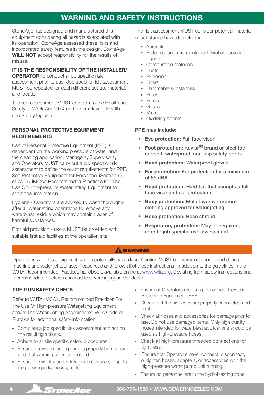## WARNING AND SAFETY INSTRUCTIONS

StoneAge has designed and manufactured this equipment considering all hazards associated with its operation. StoneAge assessed these risks and incorporated safety features in the design. StoneAge WILL NOT accept responsibility for the results of misuse.

#### IT IS THE RESPONSIBILITY OF THE INSTALLER/ **OPERATOR** to conduct a job specific risk

assessment prior to use. Job specific risk assessment MUST be repeated for each different set up, material, and location.

The risk assessment MUST conform to the Health and Safety at Work Act 1974 and other relevant Health and Safety legislation.

## PERSONAL PROTECTIVE EQUIPMENT REQUIREMENTS

Use of Personal Protective Equipment (PPE) is dependent on the working pressure of water and the cleaning application. Managers, Supervisors, and Operators MUST carry out a job specific risk assessment to define the exact requirements for PPE. See Protective Equipment for Personnel (Section 6) of WJTA-IMCA's Recommended Practices For The Use Of High-pressure Water jetting Equipment for additional information.

Hygiene - Operators are advised to wash thoroughly after all waterjetting operations to remove any waterblast residue which may contain traces of harmful substances.

First aid provision - users MUST be provided with suitable first aid facilities at the operation site.

The risk assessment MUST consider potential material or substance hazards including:

- Aerosols
- Biological and microbiological (viral or bacterial) agents
- Combustible materials
- Dusts
- Explosion
- Fibers
- Flammable substances
- Fluids
- Fumes
- Gases
- Mists
- Oxidizing Agents

### PPE may include:

- Eye protection: Full face visor
- Foot protection: Kevlar<sup>®</sup> brand or steel toe capped, waterproof, non-slip safety boots
- Hand protection: Waterproof gloves
- Ear protection: Ear protection for a minimum of 85 dBA
- Head protection: Hard hat that accepts a full face visor and ear protection
- Body protection: Multi-layer waterproof clothing approved for water jetting
- Hose protection: Hose shroud
- Respiratory protection: May be required; refer to job specific risk assessment

## **AWARNING**

Operations with this equipment can be potentially hazardous. Caution MUST be exercised prior to and during machine and water jet tool use. Please read and follow all of these instructions, in addition to the guidelines in the WJTA Recommended Practices handbook, available online at www.wjta.org. Deviating from safety instructions and recommended practices can lead to severe injury and/or death.

## PRE-RUN SAFETY CHECK

Refer to WJTA-IMCA's, Recommended Practices For The Use Of High-pressure Waterjetting Equipment and/or The Water Jetting Association's, WJA Code of Practice for additional safety information.

- Complete a job specific risk assessment and act on the resulting actions.
- Adhere to all site specific safety procedures.
- Ensure the waterblasting zone is properly barricaded and that warning signs are posted.
- Ensure the work place is free of unnecessary objects (e.g. loose parts, hoses, tools).
- Ensure all Operators are using the correct Personal Protective Equipment (PPE).
- Check that the air hoses are properly connected and tight.
- Check all hoses and accessories for damage prior to use. Do not use damaged items. Only high quality hoses intended for waterblast applications should be used as high-pressure hoses.
- Check all high-pressure threaded connections for tightness.
- Ensure that Operators never connect, disconnect, or tighten hoses, adapters, or accessories with the high-pressure water pump unit running.
- Ensure no personnel are in the hydroblasting zone.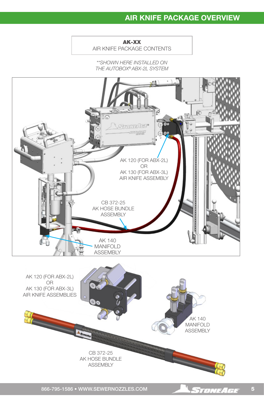# AIR KNIFE PACKAGE OVERVIEW

AK-XX

AIR KNIFE PACKAGE CONTENTS

*\*\*SHOWN HERE INSTALLED ON THE AUTOBOX® ABX-2L SYSTEM*

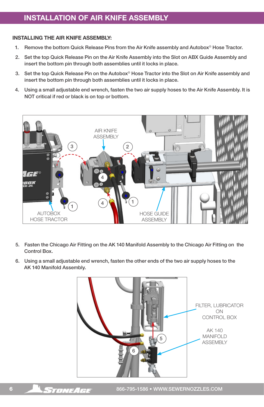# INSTALLATION OF AIR KNIFE ASSEMBLY

#### INSTALLING THE AIR KNIFE ASSEMBLY:

- 1. Remove the bottom Quick Release Pins from the Air Knife assembly and Autobox<sup>®</sup> Hose Tractor.
- 2. Set the top Quick Release Pin on the Air Knife Assembly into the Slot on ABX Guide Assembly and insert the bottom pin through both assemblies until it locks in place.
- 3. Set the top Quick Release Pin on the Autobox® Hose Tractor into the Slot on Air Knife assembly and insert the bottom pin through both assemblies until it locks in place.
- 4. Using a small adjustable end wrench, fasten the two air supply hoses to the Air Knife Assembly. It is NOT critical if red or black is on top or bottom.



- 5. Fasten the Chicago Air Fitting on the AK 140 Manifold Assembly to the Chicago Air Fitting on the Control Box.
- 6. Using a small adjustable end wrench, fasten the other ends of the two air supply hoses to the AK 140 Manifold Assembly.

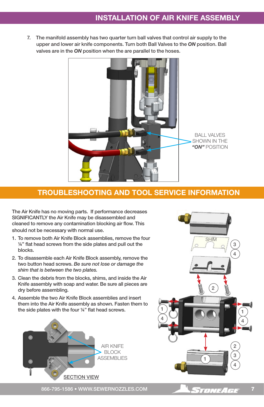7. The manifold assembly has two quarter turn ball valves that control air supply to the upper and lower air knife components. Turn both Ball Valves to the *ON* position. Ball valves are in the *ON* position when the are parallel to the hoses.



## TROUBLESHOOTING AND TOOL SERVICE INFORMATION

The Air Knife has no moving parts. If performance decreases SIGNIFICANTLY the Air Knife may be disassembled and cleaned to remove any contamination blocking air flow. This should not be necessary with normal use.

- 1. To remove both Air Knife Block assemblies, remove the four ¼" flat head screws from the side plates and pull out the blocks.
- 2. To disassemble each Air Knife Block assembly, remove the two button head screws. *Be sure not lose or damage the shim that is between the two plates.*
- 3. Clean the debris from the blocks, shims, and inside the Air Knife assembly with soap and water. Be sure all pieces are dry before assembling.
- 4. Assemble the two Air Knife Block assemblies and insert them into the Air Knife assembly as shown. Fasten them to the side plates with the four  $\frac{1}{4}$ " flat head screws.





866-795-1586 • WWW.SEWERNOZZLES.COM **7 STONEAGE** 7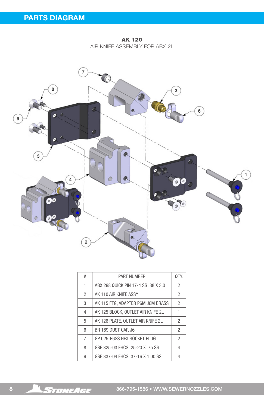

| #              | <b>PART NUMBER</b>                  |                |
|----------------|-------------------------------------|----------------|
| 1              | ABX 298 QUICK PIN 17-4 SS .38 X 3.0 | $\overline{2}$ |
| $\overline{2}$ | AK 110 AIR KNIFE ASSY               | $\overline{2}$ |
| 3              | AK 115 FTG. ADAPTER P6M J6M BRASS   | $\overline{2}$ |
| $\overline{4}$ | AK 125 BLOCK, OUTLET AIR KNIFE 2L   | 1              |
| 5              | AK 126 PLATE, OUTLET AIR KNIFE 2L   | $\mathfrak{p}$ |
| 6              | BR 169 DUST CAP, J6                 | $\mathfrak{p}$ |
| 7              | GP 025-P6SS HEX SOCKET PLUG         | $\overline{2}$ |
| 8              | GSF 325-03 FHCS .25-20 X .75 SS     | $\overline{4}$ |
| 9              | GSF 337-04 FHCS .37-16 X 1.00 SS    | 4              |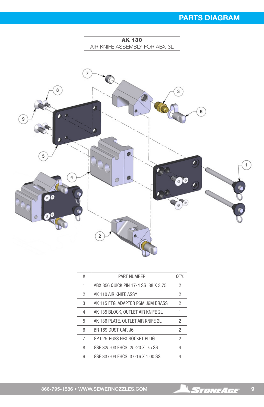# PARTS DIAGRAM



| #              | <b>PART NUMBER</b>                   |                |
|----------------|--------------------------------------|----------------|
| 1              | ABX 356 QUICK PIN 17-4 SS .38 X 3.75 | $\overline{2}$ |
| $\overline{2}$ | AK 110 AIR KNIFE ASSY                | $\mathfrak{p}$ |
| 3              | AK 115 FTG, ADAPTER P6M J6M BRASS    | $\mathfrak{p}$ |
| $\overline{4}$ | AK 135 BLOCK. OUTLET AIR KNIFE 2L    |                |
| 5              | AK 136 PLATE. OUTLET AIR KNIFE 2L    | 2              |
| 6              | BR 169 DUST CAP. J6                  | $\mathfrak{p}$ |
| 7              | GP 025-P6SS HEX SOCKET PLUG          | $\overline{2}$ |
| 8              | GSF 325-03 FHCS .25-20 X .75 SS      | $\overline{4}$ |
| 9              | GSF 337-04 FHCS .37-16 X 1.00 SS     |                |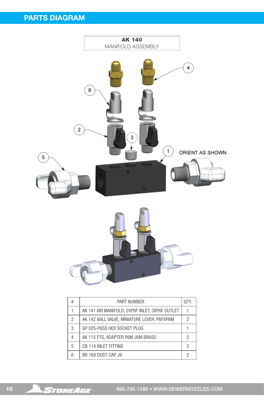

| #              | <b>PART NUMBER</b>                             | OTY. |
|----------------|------------------------------------------------|------|
|                | AK 141 AIR MANIFOLD, 2XP8F INLET, 3XP6F OUTLET |      |
| 2              | AK 142 BALL VALVE, MINIATURE LEVER, P6FXP6M    | 2    |
| 3              | GP 025-P6SS HEX SOCKET PLUG                    |      |
| $\overline{4}$ | AK 115 FTG. ADAPTER P6M J6M BRASS              | 2    |
| 5              | CB 114 INLET FITTING                           | 2    |
| 6              | BR 169 DUST CAP, J6                            | 2    |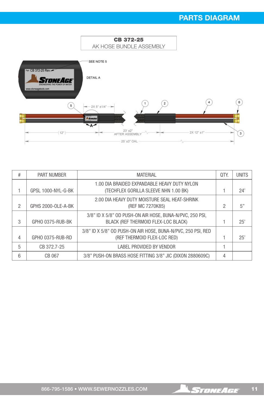

| # | <b>PART NUMBER</b> | <b>MATERIAL</b>                                                                                 | OTY. | <b>UNITS</b> |
|---|--------------------|-------------------------------------------------------------------------------------------------|------|--------------|
|   | GPSL 1000-NYL-G-BK | 1.00 DIA BRAIDED EXPANDABLE HEAVY DUTY NYLON<br>(TECHFLEX GORILLA SLEEVE NHN 1.00 BK)           |      | 24'          |
| 2 | GPHS 2000-OLE-A-BK | 2.00 DIA HEAVY DUTY MOISTURE SEAL HEAT-SHRINK<br>(REF MC 7270K85)                               | 2    | 5"           |
| 3 | GPHO 0375-RUB-BK   | 3/8" ID X 5/8" OD PUSH-ON AIR HOSE, BUNA-N/PVC, 250 PSI,<br>BLACK (REF THERMOID FLEX-LOC BLACK) |      | 25'          |
| 4 | GPHO 0375-RUB-RD   | 3/8" ID X 5/8" OD PUSH-ON AIR HOSE, BUNA-N/PVC, 250 PSI, RED<br>(REF THERMOID FLEX-LOC RED)     |      | 25'          |
| 5 | CB 372.7-25        | LABEL PROVIDED BY VENDOR                                                                        |      |              |
| 6 | CB 067             | 3/8" PUSH-ON BRASS HOSE FITTING 3/8" JIC (DIXON 2880609C)                                       | 4    |              |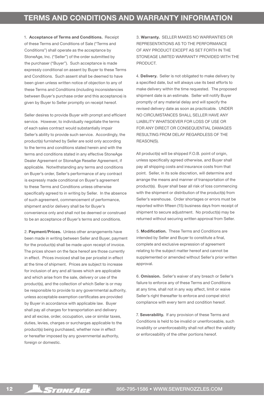1. Acceptance of Terms and Conditions. Receipt of these Terms and Conditions of Sale ("Terms and Conditions") shall operate as the acceptance by StoneAge, Inc. ("Seller") of the order submitted by the purchaser ("Buyer"). Such acceptance is made expressly conditional on assent by Buyer to these Terms and Conditions. Such assent shall be deemed to have been given unless written notice of objection to any of these Terms and Conditions (including inconsistencies between Buyer's purchase order and this acceptance) is given by Buyer to Seller promptly on receipt hereof.

Seller desires to provide Buyer with prompt and efficient service. However, to individually negotiate the terms of each sales contract would substantially impair Seller's ability to provide such service. Accordingly, the product(s) furnished by Seller are sold only according to the terms and conditions stated herein and with the terms and conditions stated in any effective StoneAge Dealer Agreement or StoneAge Reseller Agreement, if applicable. Notwithstanding any terms and conditions on Buyer's order, Seller's performance of any contract is expressly made conditional on Buyer's agreement to these Terms and Conditions unless otherwise specifically agreed to in writing by Seller. In the absence of such agreement, commencement of performance, shipment and/or delivery shall be for Buyer's convenience only and shall not be deemed or construed to be an acceptance of Buyer's terms and conditions.

2. Payment/Prices. Unless other arrangements have been made in writing between Seller and Buyer, payment for the product(s) shall be made upon receipt of invoice. The prices shown on the face hereof are those currently in effect. Prices invoiced shall be per pricelist in effect at the time of shipment. Prices are subject to increase for inclusion of any and all taxes which are applicable and which arise from the sale, delivery or use of the product(s), and the collection of which Seller is or may be responsible to provide to any governmental authority, unless acceptable exemption certificates are provided by Buyer in accordance with applicable law. Buyer shall pay all charges for transportation and delivery and all excise, order, occupation, use or similar taxes, duties, levies, charges or surcharges applicable to the product(s) being purchased, whether now in effect or hereafter imposed by any governmental authority, foreign or domestic.

3. Warranty. SELLER MAKES NO WARRANTIES OR REPRESENTATIONS AS TO THE PERFORMANCE OF ANY PRODUCT EXCEPT AS SET FORTH IN THE STONEAGE LIMITED WARRANTY PROVIDED WITH THE **PRODUCT** 

4. Delivery. Seller is not obligated to make delivery by a specified date, but will always use its best efforts to make delivery within the time requested. The proposed shipment date is an estimate. Seller will notify Buyer promptly of any material delay and will specify the revised delivery date as soon as practicable. UNDER NO CIRCUMSTANCES SHALL SELLER HAVE ANY LIABILITY WHATSOEVER FOR LOSS OF USE OR FOR ANY DIRECT OR CONSEQUENTIAL DAMAGES RESULTING FROM DELAY REGARDLESS OF THE REASON(S).

All product(s) will be shipped F.O.B. point of origin, unless specifically agreed otherwise, and Buyer shall pay all shipping costs and insurance costs from that point. Seller, in its sole discretion, will determine and arrange the means and manner of transportation of the product(s). Buyer shall bear all risk of loss commencing with the shipment or distribution of the product(s) from Seller's warehouse. Order shortages or errors must be reported within fifteen (15) business days from receipt of shipment to secure adjustment. No product(s) may be returned without securing written approval from Seller.

5. Modification. These Terms and Conditions are intended by Seller and Buyer to constitute a final, complete and exclusive expression of agreement relating to the subject matter hereof and cannot be supplemented or amended without Seller's prior written approval.

6. Omission. Seller's waiver of any breach or Seller's failure to enforce any of these Terms and Conditions at any time, shall not in any way affect, limit or waive Seller's right thereafter to enforce and compel strict compliance with every term and condition hereof.

7. Severability. If any provision of these Terms and Conditions is held to be invalid or unenforceable, such invalidity or unenforceability shall not affect the validity or enforceability of the other portions hereof.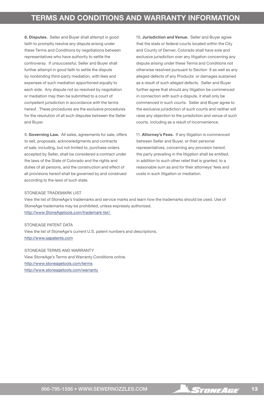8. Disputes. Seller and Buyer shall attempt in good faith to promptly resolve any dispute arising under these Terms and Conditions by negotiations between representatives who have authority to settle the controversy. If unsuccessful, Seller and Buyer shall further attempt in good faith to settle the dispute by nonbinding third-party mediation, with fees and expenses of such mediation apportioned equally to each side. Any dispute not so resolved by negotiation or mediation may then be submitted to a court of competent jurisdiction in accordance with the terms hereof. These procedures are the exclusive procedures for the resolution of all such disputes between the Seller and Buyer.

9. Governing Law. All sales, agreements for sale, offers to sell, proposals, acknowledgments and contracts of sale, including, but not limited to, purchase orders accepted by Seller, shall be considered a contract under the laws of the State of Colorado and the rights and duties of all persons, and the construction and effect of all provisions hereof shall be governed by and construed according to the laws of such state.

10. Jurisdiction and Venue. Seller and Buyer agree that the state or federal courts located within the City and County of Denver, Colorado shall have sole and exclusive jurisdiction over any litigation concerning any dispute arising under these Terms and Conditions not otherwise resolved pursuant to Section 9 as well as any alleged defects of any Products or damages sustained as a result of such alleged defects. Seller and Buyer further agree that should any litigation be commenced in connection with such a dispute, it shall only be commenced in such courts. Seller and Buyer agree to the exclusive jurisdiction of such courts and neither will raise any objection to the jurisdiction and venue of such courts, including as a result of inconvenience.

11. Attorney's Fees. If any litigation is commenced between Seller and Buyer, or their personal representatives, concerning any provision hereof, the party prevailing in the litigation shall be entitled, in addition to such other relief that is granted, to a reasonable sum as and for their attorneys' fees and costs in such litigation or mediation.

#### STONEAGE TRADEMARK LIST

View the list of StoneAge's trademarks and service marks and learn how the trademarks should be used. Use of StoneAge trademarks may be prohibited, unless expressly authorized. http://www.StoneAgetools.com/trademark-list/

STONEAGE PATENT DATA View the list of StoneAge's current U.S. patent numbers and descriptions. http://www.sapatents.com

STONEAGE TERMS AND WARRANTY View StoneAge's Terms and Warranty Conditions online. http://www.stoneagetools.com/terms http://www.stoneagetools.com/warranty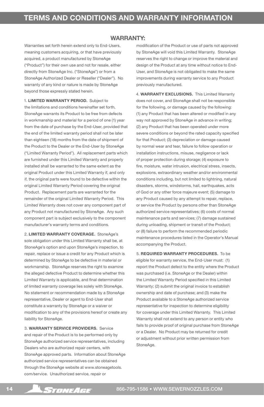#### WARRANTY:

Warranties set forth herein extend only to End-Users, meaning customers acquiring, or that have previously acquired, a product manufactured by StoneAge ("Product") for their own use and not for resale, either directly from StoneAge Inc. ("StoneAge") or from a StoneAge Authorized Dealer or Reseller ("Dealer"). No warranty of any kind or nature is made by StoneAge beyond those expressly stated herein.

1. LIMITED WARRANTY PERIOD. Subject to the limitations and conditions hereinafter set forth, StoneAge warrants its Product to be free from defects in workmanship and material for a period of one (1) year from the date of purchase by the End-User, provided that the end of the limited warranty period shall not be later than eighteen (18) months from the date of shipment of the Product to the Dealer or the End-User by StoneAge ("Limited Warranty Period"). All replacement parts which are furnished under this Limited Warranty and properly installed shall be warranted to the same extent as the original Product under this Limited Warranty if, and only if, the original parts were found to be defective within the original Limited Warranty Period covering the original Product. Replacement parts are warranted for the remainder of the original Limited Warranty Period. This Limited Warranty does not cover any component part of any Product not manufactured by StoneAge. Any such component part is subject exclusively to the component manufacturer's warranty terms and conditions.

2. LIMITED WARRANTY COVERAGE. StoneAge's sole obligation under this Limited Warranty shall be, at StoneAge's option and upon StoneAge's inspection, to repair, replace or issue a credit for any Product which is determined by StoneAge to be defective in material or workmanship. StoneAge reserves the right to examine the alleged defective Product to determine whether this Limited Warranty is applicable, and final determination of limited warranty coverage lies solely with StoneAge. No statement or recommendation made by a StoneAge representative, Dealer or agent to End-User shall constitute a warranty by StoneAge or a waiver or modification to any of the provisions hereof or create any liability for StoneAge.

3. WARRANTY SERVICE PROVIDERS. Service and repair of the Product is to be performed only by StoneAge authorized service representatives, including Dealers who are authorized repair centers, with StoneAge approved parts. Information about StoneAge authorized service representatives can be obtained through the StoneAge website at www.stoneagetools. com/service. Unauthorized service, repair or

modification of the Product or use of parts not approved by StoneAge will void this Limited Warranty. StoneAge reserves the right to change or improve the material and design of the Product at any time without notice to End-User, and StoneAge is not obligated to make the same improvements during warranty service to any Product previously manufactured.

4. WARRANTY EXCLUSIONS. This Limited Warranty does not cover, and StoneAge shall not be responsible for the following, or damage caused by the following: (1) any Product that has been altered or modified in any way not approved by StoneAge in advance in writing; (2) any Product that has been operated under more severe conditions or beyond the rated capacity specified for that Product; (3) depreciation or damage caused by normal wear and tear, failure to follow operation or installation instructions, misuse, negligence or lack of proper protection during storage; (4) exposure to fire, moisture, water intrusion, electrical stress, insects, explosions, extraordinary weather and/or environmental conditions including, but not limited to lightning, natural disasters, storms, windstorms, hail, earthquakes, acts of God or any other force majeure event; (5) damage to any Product caused by any attempt to repair, replace, or service the Product by persons other than StoneAge authorized service representatives; (6) costs of normal maintenance parts and services; (7) damage sustained during unloading, shipment or transit of the Product; or (8) failure to perform the recommended periodic maintenance procedures listed in the Operator's Manual accompanying the Product.

5. REQUIRED WARRANTY PROCEDURES. To be eligible for warranty service, the End-User must: (1) report the Product defect to the entity where the Product was purchased (i.e. StoneAge or the Dealer) within the Limited Warranty Period specified in this Limited Warranty; (2) submit the original invoice to establish ownership and date of purchase; and (3) make the Product available to a StoneAge authorized service representative for inspection to determine eligibility for coverage under this Limited Warranty. This Limited Warranty shall not extend to any person or entity who fails to provide proof of original purchase from StoneAge or a Dealer. No Product may be returned for credit or adjustment without prior written permission from StoneAge.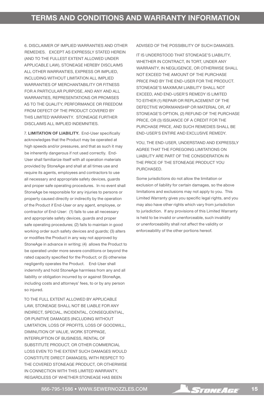6. DISCLAIMER OF IMPLIED WARRANTIES AND OTHER REMEDIES. EXCEPT AS EXPRESSLY STATED HEREIN (AND TO THE FULLEST EXTENT ALLOWED UNDER APPLICABLE LAW), STONEAGE HEREBY DISCLAIMS ALL OTHER WARRANTIES, EXPRESS OR IMPLIED, INCLUDING WITHOUT LIMITATION ALL IMPLIED WARRANTIES OF MERCHANTABILITY OR FITNESS FOR A PARTICULAR PURPOSE, AND ANY AND ALL WARRANTIES, REPRESENTATIONS OR PROMISES AS TO THE QUALITY, PERFORMANCE OR FREEDOM FROM DEFECT OF THE PRODUCT COVERED BY THIS LIMITED WARRANTY. STONEAGE FURTHER DISCLAIMS ALL IMPLIED INDEMNITIES.

7. LIMITATION OF LIABILITY. End-User specifically acknowledges that the Product may be operated at high speeds and/or pressures, and that as such it may be inherently dangerous if not used correctly. End-User shall familiarize itself with all operation materials provided by StoneAge and shall at all times use and require its agents, employees and contractors to use all necessary and appropriate safety devices, guards and proper safe operating procedures. In no event shall StoneAge be responsible for any injuries to persons or property caused directly or indirectly by the operation of the Product if End-User or any agent, employee, or contractor of End-User: (1) fails to use all necessary and appropriate safety devices, guards and proper safe operating procedures; (2) fails to maintain in good working order such safety devices and guards; (3) alters or modifies the Product in any way not approved by StoneAge in advance in writing; (4) allows the Product to be operated under more severe conditions or beyond the rated capacity specified for the Product; or (5) otherwise negligently operates the Product. End-User shall indemnify and hold StoneAge harmless from any and all liability or obligation incurred by or against StoneAge, including costs and attorneys' fees, to or by any person so injured.

TO THE FULL EXTENT ALLOWED BY APPLICABLE LAW, STONEAGE SHALL NOT BE LIABLE FOR ANY INDIRECT, SPECIAL, INCIDENTAL, CONSEQUENTIAL, OR PUNITIVE DAMAGES (INCLUDING WITHOUT LIMITATION, LOSS OF PROFITS, LOSS OF GOODWILL, DIMINUTION OF VALUE, WORK STOPPAGE, INTERRUPTION OF BUSINESS, RENTAL OF SUBSTITUTE PRODUCT, OR OTHER COMMERCIAL LOSS EVEN TO THE EXTENT SUCH DAMAGES WOULD CONSTITUTE DIRECT DAMAGES), WITH RESPECT TO THE COVERED STONEAGE PRODUCT, OR OTHERWISE IN CONNECTION WITH THIS LIMITED WARRANTY, REGARDLESS OF WHETHER STONEAGE HAS BEEN

ADVISED OF THE POSSIBILITY OF SUCH DAMAGES.

IT IS UNDERSTOOD THAT STONEAGE'S LIABILITY, WHETHER IN CONTRACT, IN TORT, UNDER ANY WARRANTY, IN NEGLIGENCE, OR OTHERWISE SHALL NOT EXCEED THE AMOUNT OF THE PURCHASE PRICE PAID BY THE END-USER FOR THE PRODUCT. STONEAGE'S MAXIMUM LIABILITY SHALL NOT EXCEED, AND END-USER'S REMEDY IS LIMITED TO EITHER (1) REPAIR OR REPLACEMENT OF THE DEFECTIVE WORKMANSHIP OR MATERIAL OR, AT STONEAGE'S OPTION, (2) REFUND OF THE PURCHASE PRICE, OR (3) ISSUANCE OF A CREDIT FOR THE PURCHASE PRICE, AND SUCH REMEDIES SHALL BE END-USER'S ENTIRE AND EXCLUSIVE REMEDY.

YOU, THE END-USER, UNDERSTAND AND EXPRESSLY AGREE THAT THE FOREGOING LIMITATIONS ON LIABILITY ARE PART OF THE CONSIDERATION IN THE PRICE OF THE STONEAGE PRODUCT YOU PURCHASED.

Some jurisdictions do not allow the limitation or exclusion of liability for certain damages, so the above limitations and exclusions may not apply to you. This Limited Warranty gives you specific legal rights, and you may also have other rights which vary from jurisdiction to jurisdiction. If any provisions of this Limited Warranty is held to be invalid or unenforceable, such invalidity or unenforceability shall not affect the validity or enforceability of the other portions hereof.